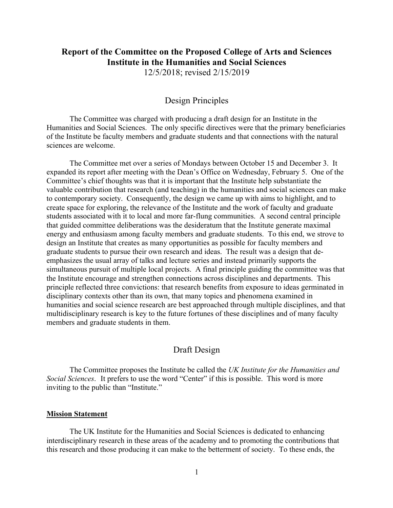# **Report of the Committee on the Proposed College of Arts and Sciences Institute in the Humanities and Social Sciences**

12/5/2018; revised 2/15/2019

# Design Principles

The Committee was charged with producing a draft design for an Institute in the Humanities and Social Sciences. The only specific directives were that the primary beneficiaries of the Institute be faculty members and graduate students and that connections with the natural sciences are welcome.

The Committee met over a series of Mondays between October 15 and December 3. It expanded its report after meeting with the Dean's Office on Wednesday, February 5. One of the Committee's chief thoughts was that it is important that the Institute help substantiate the valuable contribution that research (and teaching) in the humanities and social sciences can make to contemporary society. Consequently, the design we came up with aims to highlight, and to create space for exploring, the relevance of the Institute and the work of faculty and graduate students associated with it to local and more far-flung communities. A second central principle that guided committee deliberations was the desideratum that the Institute generate maximal energy and enthusiasm among faculty members and graduate students. To this end, we strove to design an Institute that creates as many opportunities as possible for faculty members and graduate students to pursue their own research and ideas. The result was a design that deemphasizes the usual array of talks and lecture series and instead primarily supports the simultaneous pursuit of multiple local projects. A final principle guiding the committee was that the Institute encourage and strengthen connections across disciplines and departments. This principle reflected three convictions: that research benefits from exposure to ideas germinated in disciplinary contexts other than its own, that many topics and phenomena examined in humanities and social science research are best approached through multiple disciplines, and that multidisciplinary research is key to the future fortunes of these disciplines and of many faculty members and graduate students in them.

# Draft Design

The Committee proposes the Institute be called the *UK Institute for the Humanities and Social Sciences*. It prefers to use the word "Center" if this is possible. This word is more inviting to the public than "Institute."

# **Mission Statement**

The UK Institute for the Humanities and Social Sciences is dedicated to enhancing interdisciplinary research in these areas of the academy and to promoting the contributions that this research and those producing it can make to the betterment of society. To these ends, the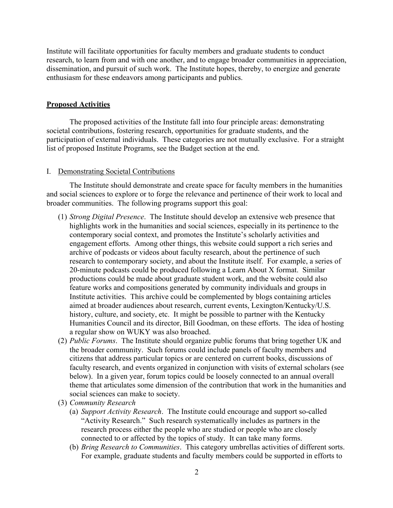Institute will facilitate opportunities for faculty members and graduate students to conduct research, to learn from and with one another, and to engage broader communities in appreciation, dissemination, and pursuit of such work. The Institute hopes, thereby, to energize and generate enthusiasm for these endeavors among participants and publics.

#### **Proposed Activities**

The proposed activities of the Institute fall into four principle areas: demonstrating societal contributions, fostering research, opportunities for graduate students, and the participation of external individuals. These categories are not mutually exclusive. For a straight list of proposed Institute Programs, see the Budget section at the end.

#### I. Demonstrating Societal Contributions

The Institute should demonstrate and create space for faculty members in the humanities and social sciences to explore or to forge the relevance and pertinence of their work to local and broader communities. The following programs support this goal:

- (1) *Strong Digital Presence*. The Institute should develop an extensive web presence that highlights work in the humanities and social sciences, especially in its pertinence to the contemporary social context, and promotes the Institute's scholarly activities and engagement efforts. Among other things, this website could support a rich series and archive of podcasts or videos about faculty research, about the pertinence of such research to contemporary society, and about the Institute itself. For example, a series of 20-minute podcasts could be produced following a Learn About X format. Similar productions could be made about graduate student work, and the website could also feature works and compositions generated by community individuals and groups in Institute activities. This archive could be complemented by blogs containing articles aimed at broader audiences about research, current events, Lexington/Kentucky/U.S. history, culture, and society, etc. It might be possible to partner with the Kentucky Humanities Council and its director, Bill Goodman, on these efforts. The idea of hosting a regular show on WUKY was also broached.
- (2) *Public Forums*. The Institute should organize public forums that bring together UK and the broader community. Such forums could include panels of faculty members and citizens that address particular topics or are centered on current books, discussions of faculty research, and events organized in conjunction with visits of external scholars (see below). In a given year, forum topics could be loosely connected to an annual overall theme that articulates some dimension of the contribution that work in the humanities and social sciences can make to society.
- (3) *Community Research*
	- (a) *Support Activity Research*. The Institute could encourage and support so-called "Activity Research." Such research systematically includes as partners in the research process either the people who are studied or people who are closely connected to or affected by the topics of study. It can take many forms.
	- (b) *Bring Research to Communities*. This category umbrellas activities of different sorts. For example, graduate students and faculty members could be supported in efforts to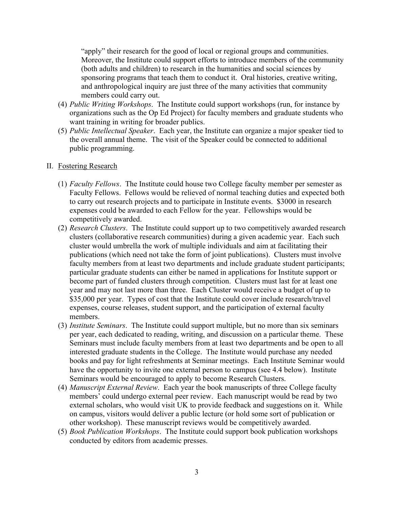"apply" their research for the good of local or regional groups and communities. Moreover, the Institute could support efforts to introduce members of the community (both adults and children) to research in the humanities and social sciences by sponsoring programs that teach them to conduct it. Oral histories, creative writing, and anthropological inquiry are just three of the many activities that community members could carry out.

- (4) *Public Writing Workshops*. The Institute could support workshops (run, for instance by organizations such as the Op Ed Project) for faculty members and graduate students who want training in writing for broader publics.
- (5) *Public Intellectual Speaker*. Each year, the Institute can organize a major speaker tied to the overall annual theme. The visit of the Speaker could be connected to additional public programming.

# II. Fostering Research

- (1) *Faculty Fellows*. The Institute could house two College faculty member per semester as Faculty Fellows. Fellows would be relieved of normal teaching duties and expected both to carry out research projects and to participate in Institute events. \$3000 in research expenses could be awarded to each Fellow for the year. Fellowships would be competitively awarded.
- (2) *Research Clusters*. The Institute could support up to two competitively awarded research clusters (collaborative research communities) during a given academic year. Each such cluster would umbrella the work of multiple individuals and aim at facilitating their publications (which need not take the form of joint publications). Clusters must involve faculty members from at least two departments and include graduate student participants; particular graduate students can either be named in applications for Institute support or become part of funded clusters through competition. Clusters must last for at least one year and may not last more than three. Each Cluster would receive a budget of up to \$35,000 per year. Types of cost that the Institute could cover include research/travel expenses, course releases, student support, and the participation of external faculty members.
- (3) *Institute Seminars*. The Institute could support multiple, but no more than six seminars per year, each dedicated to reading, writing, and discussion on a particular theme. These Seminars must include faculty members from at least two departments and be open to all interested graduate students in the College. The Institute would purchase any needed books and pay for light refreshments at Seminar meetings. Each Institute Seminar would have the opportunity to invite one external person to campus (see 4.4 below). Institute Seminars would be encouraged to apply to become Research Clusters.
- (4) *Manuscript External Review*. Each year the book manuscripts of three College faculty members' could undergo external peer review. Each manuscript would be read by two external scholars, who would visit UK to provide feedback and suggestions on it. While on campus, visitors would deliver a public lecture (or hold some sort of publication or other workshop). These manuscript reviews would be competitively awarded.
- (5) *Book Publication Workshops*. The Institute could support book publication workshops conducted by editors from academic presses.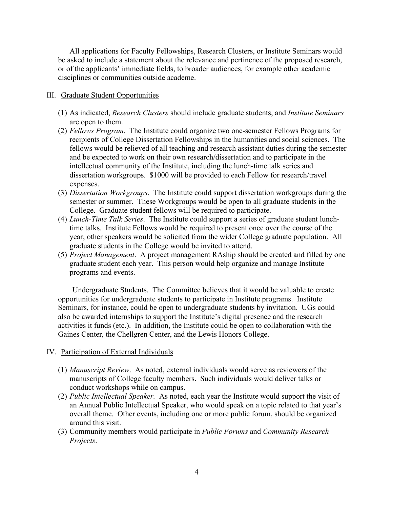All applications for Faculty Fellowships, Research Clusters, or Institute Seminars would be asked to include a statement about the relevance and pertinence of the proposed research, or of the applicants' immediate fields, to broader audiences, for example other academic disciplines or communities outside academe.

# III. Graduate Student Opportunities

- (1) As indicated, *Research Clusters* should include graduate students, and *Institute Seminars* are open to them.
- (2) *Fellows Program*. The Institute could organize two one-semester Fellows Programs for recipients of College Dissertation Fellowships in the humanities and social sciences. The fellows would be relieved of all teaching and research assistant duties during the semester and be expected to work on their own research/dissertation and to participate in the intellectual community of the Institute, including the lunch-time talk series and dissertation workgroups. \$1000 will be provided to each Fellow for research/travel expenses.
- (3) *Dissertation Workgroups*. The Institute could support dissertation workgroups during the semester or summer. These Workgroups would be open to all graduate students in the College. Graduate student fellows will be required to participate.
- (4) *Lunch-Time Talk Series*. The Institute could support a series of graduate student lunchtime talks. Institute Fellows would be required to present once over the course of the year; other speakers would be solicited from the wider College graduate population. All graduate students in the College would be invited to attend.
- (5) *Project Management*. A project management RAship should be created and filled by one graduate student each year. This person would help organize and manage Institute programs and events.

Undergraduate Students. The Committee believes that it would be valuable to create opportunities for undergraduate students to participate in Institute programs. Institute Seminars, for instance, could be open to undergraduate students by invitation. UGs could also be awarded internships to support the Institute's digital presence and the research activities it funds (etc.). In addition, the Institute could be open to collaboration with the Gaines Center, the Chellgren Center, and the Lewis Honors College.

# IV. Participation of External Individuals

- (1) *Manuscript Review*. As noted, external individuals would serve as reviewers of the manuscripts of College faculty members. Such individuals would deliver talks or conduct workshops while on campus.
- (2) *Public Intellectual Speaker.* As noted, each year the Institute would support the visit of an Annual Public Intellectual Speaker, who would speak on a topic related to that year's overall theme. Other events, including one or more public forum, should be organized around this visit.
- (3) Community members would participate in *Public Forums* and *Community Research Projects*.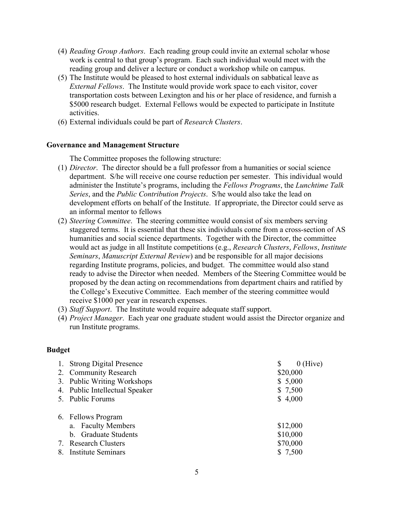- (4) *Reading Group Authors*. Each reading group could invite an external scholar whose work is central to that group's program. Each such individual would meet with the reading group and deliver a lecture or conduct a workshop while on campus.
- (5) The Institute would be pleased to host external individuals on sabbatical leave as *External Fellows*. The Institute would provide work space to each visitor, cover transportation costs between Lexington and his or her place of residence, and furnish a \$5000 research budget. External Fellows would be expected to participate in Institute activities.
- (6) External individuals could be part of *Research Clusters*.

# **Governance and Management Structure**

The Committee proposes the following structure:

- (1) *Director*. The director should be a full professor from a humanities or social science department. S/he will receive one course reduction per semester. This individual would administer the Institute's programs, including the *Fellows Programs*, the *Lunchtime Talk Series*, and the *Public Contribution Projects*. S/he would also take the lead on development efforts on behalf of the Institute.If appropriate, the Director could serve as an informal mentor to fellows
- (2) *Steering Committee*. The steering committee would consist of six members serving staggered terms. It is essential that these six individuals come from a cross-section of AS humanities and social science departments. Together with the Director, the committee would act as judge in all Institute competitions (e.g., *Research Clusters*, *Fellows*, *Institute Seminars*, *Manuscript External Review*) and be responsible for all major decisions regarding Institute programs, policies, and budget. The committee would also stand ready to advise the Director when needed. Members of the Steering Committee would be proposed by the dean acting on recommendations from department chairs and ratified by the College's Executive Committee. Each member of the steering committee would receive \$1000 per year in research expenses.
- (3) *Staff Support*. The Institute would require adequate staff support.
- (4) *Project Manager*. Each year one graduate student would assist the Director organize and run Institute programs.

# **Budget**

| 1. Strong Digital Presence     | $0$ (Hive)<br>\$ |
|--------------------------------|------------------|
| 2. Community Research          | \$20,000         |
| 3. Public Writing Workshops    | \$5,000          |
| 4. Public Intellectual Speaker | \$7,500          |
| 5. Public Forums               | \$4,000          |
| 6. Fellows Program             |                  |
| a. Faculty Members             | \$12,000         |
| b. Graduate Students           | \$10,000         |
| 7. Research Clusters           | \$70,000         |
| 8. Institute Seminars          | \$7,500          |